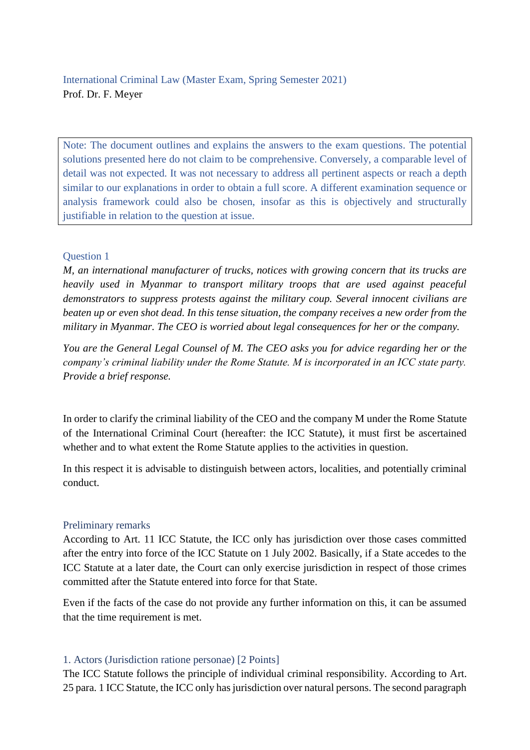Note: The document outlines and explains the answers to the exam questions. The potential solutions presented here do not claim to be comprehensive. Conversely, a comparable level of detail was not expected. It was not necessary to address all pertinent aspects or reach a depth similar to our explanations in order to obtain a full score. A different examination sequence or analysis framework could also be chosen, insofar as this is objectively and structurally justifiable in relation to the question at issue.

## Question 1

*M, an international manufacturer of trucks, notices with growing concern that its trucks are heavily used in Myanmar to transport military troops that are used against peaceful demonstrators to suppress protests against the military coup. Several innocent civilians are beaten up or even shot dead. In this tense situation, the company receives a new order from the military in Myanmar. The CEO is worried about legal consequences for her or the company.* 

*You are the General Legal Counsel of M. The CEO asks you for advice regarding her or the company's criminal liability under the Rome Statute. M is incorporated in an ICC state party. Provide a brief response.*

In order to clarify the criminal liability of the CEO and the company M under the Rome Statute of the International Criminal Court (hereafter: the ICC Statute), it must first be ascertained whether and to what extent the Rome Statute applies to the activities in question.

In this respect it is advisable to distinguish between actors, localities, and potentially criminal conduct.

## Preliminary remarks

According to Art. 11 ICC Statute, the ICC only has jurisdiction over those cases committed after the entry into force of the ICC Statute on 1 July 2002. Basically, if a State accedes to the ICC Statute at a later date, the Court can only exercise jurisdiction in respect of those crimes committed after the Statute entered into force for that State.

Even if the facts of the case do not provide any further information on this, it can be assumed that the time requirement is met.

## 1. Actors (Jurisdiction ratione personae) [2 Points]

The ICC Statute follows the principle of individual criminal responsibility. According to Art. 25 para. 1 ICC Statute, the ICC only has jurisdiction over natural persons. The second paragraph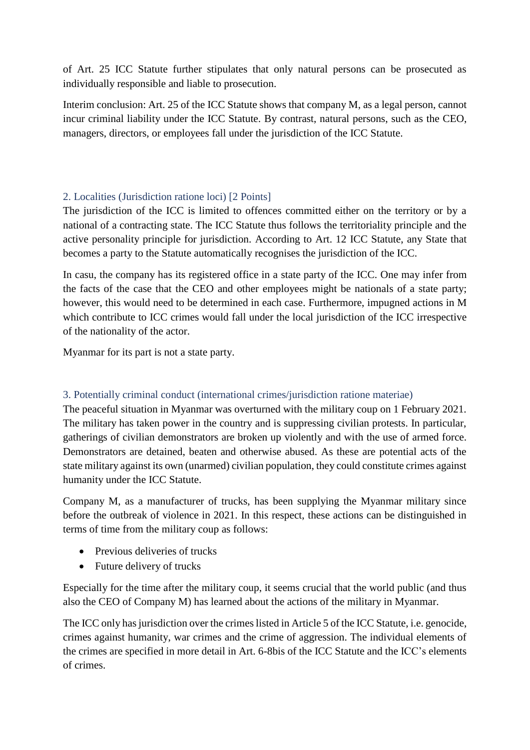of Art. 25 ICC Statute further stipulates that only natural persons can be prosecuted as individually responsible and liable to prosecution.

Interim conclusion: Art. 25 of the ICC Statute shows that company M, as a legal person, cannot incur criminal liability under the ICC Statute. By contrast, natural persons, such as the CEO, managers, directors, or employees fall under the jurisdiction of the ICC Statute.

# 2. Localities (Jurisdiction ratione loci) [2 Points]

The jurisdiction of the ICC is limited to offences committed either on the territory or by a national of a contracting state. The ICC Statute thus follows the territoriality principle and the active personality principle for jurisdiction. According to Art. 12 ICC Statute, any State that becomes a party to the Statute automatically recognises the jurisdiction of the ICC.

In casu, the company has its registered office in a state party of the ICC. One may infer from the facts of the case that the CEO and other employees might be nationals of a state party; however, this would need to be determined in each case. Furthermore, impugned actions in M which contribute to ICC crimes would fall under the local jurisdiction of the ICC irrespective of the nationality of the actor.

Myanmar for its part is not a state party.

# 3. Potentially criminal conduct (international crimes/jurisdiction ratione materiae)

The peaceful situation in Myanmar was overturned with the military coup on 1 February 2021. The military has taken power in the country and is suppressing civilian protests. In particular, gatherings of civilian demonstrators are broken up violently and with the use of armed force. Demonstrators are detained, beaten and otherwise abused. As these are potential acts of the state military against its own (unarmed) civilian population, they could constitute crimes against humanity under the ICC Statute.

Company M, as a manufacturer of trucks, has been supplying the Myanmar military since before the outbreak of violence in 2021. In this respect, these actions can be distinguished in terms of time from the military coup as follows:

- Previous deliveries of trucks
- Future delivery of trucks

Especially for the time after the military coup, it seems crucial that the world public (and thus also the CEO of Company M) has learned about the actions of the military in Myanmar.

The ICC only has jurisdiction over the crimes listed in Article 5 of the ICC Statute, i.e. genocide, crimes against humanity, war crimes and the crime of aggression. The individual elements of the crimes are specified in more detail in Art. 6-8bis of the ICC Statute and the ICC's elements of crimes.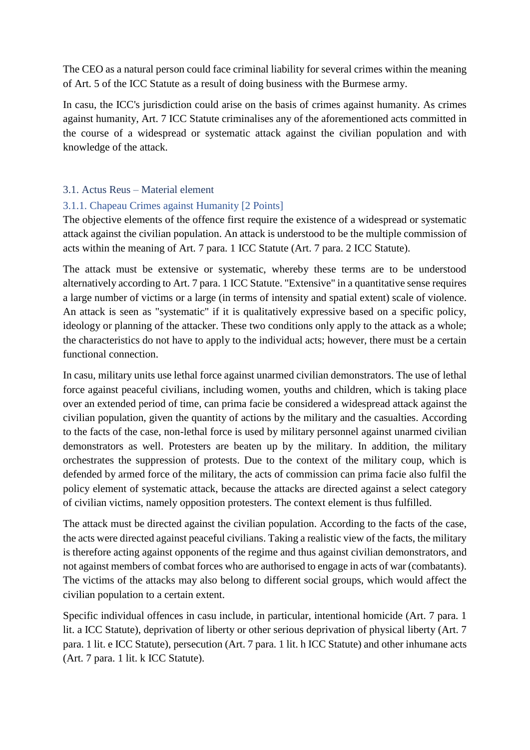The CEO as a natural person could face criminal liability for several crimes within the meaning of Art. 5 of the ICC Statute as a result of doing business with the Burmese army.

In casu, the ICC's jurisdiction could arise on the basis of crimes against humanity. As crimes against humanity, Art. 7 ICC Statute criminalises any of the aforementioned acts committed in the course of a widespread or systematic attack against the civilian population and with knowledge of the attack.

# 3.1. Actus Reus – Material element

# 3.1.1. Chapeau Crimes against Humanity [2 Points]

The objective elements of the offence first require the existence of a widespread or systematic attack against the civilian population. An attack is understood to be the multiple commission of acts within the meaning of Art. 7 para. 1 ICC Statute (Art. 7 para. 2 ICC Statute).

The attack must be extensive or systematic, whereby these terms are to be understood alternatively according to Art. 7 para. 1 ICC Statute. "Extensive" in a quantitative sense requires a large number of victims or a large (in terms of intensity and spatial extent) scale of violence. An attack is seen as "systematic" if it is qualitatively expressive based on a specific policy, ideology or planning of the attacker. These two conditions only apply to the attack as a whole; the characteristics do not have to apply to the individual acts; however, there must be a certain functional connection.

In casu, military units use lethal force against unarmed civilian demonstrators. The use of lethal force against peaceful civilians, including women, youths and children, which is taking place over an extended period of time, can prima facie be considered a widespread attack against the civilian population, given the quantity of actions by the military and the casualties. According to the facts of the case, non-lethal force is used by military personnel against unarmed civilian demonstrators as well. Protesters are beaten up by the military. In addition, the military orchestrates the suppression of protests. Due to the context of the military coup, which is defended by armed force of the military, the acts of commission can prima facie also fulfil the policy element of systematic attack, because the attacks are directed against a select category of civilian victims, namely opposition protesters. The context element is thus fulfilled.

The attack must be directed against the civilian population. According to the facts of the case, the acts were directed against peaceful civilians. Taking a realistic view of the facts, the military is therefore acting against opponents of the regime and thus against civilian demonstrators, and not against members of combat forces who are authorised to engage in acts of war (combatants). The victims of the attacks may also belong to different social groups, which would affect the civilian population to a certain extent.

Specific individual offences in casu include, in particular, intentional homicide (Art. 7 para. 1 lit. a ICC Statute), deprivation of liberty or other serious deprivation of physical liberty (Art. 7 para. 1 lit. e ICC Statute), persecution (Art. 7 para. 1 lit. h ICC Statute) and other inhumane acts (Art. 7 para. 1 lit. k ICC Statute).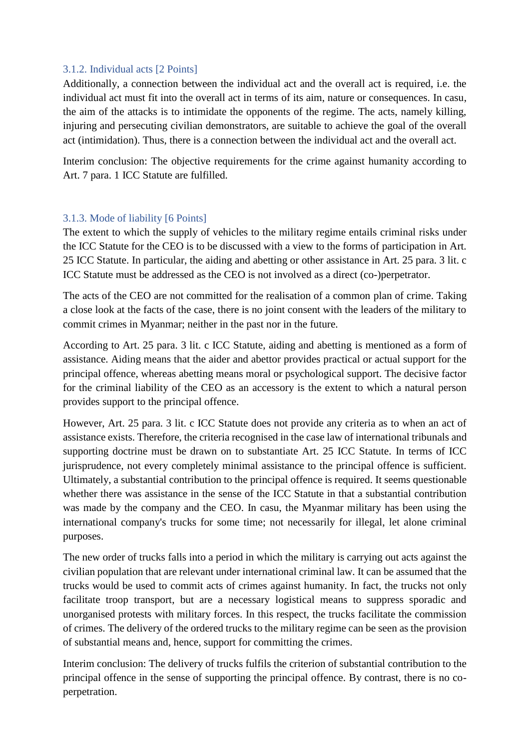### 3.1.2. Individual acts [2 Points]

Additionally, a connection between the individual act and the overall act is required, i.e. the individual act must fit into the overall act in terms of its aim, nature or consequences. In casu, the aim of the attacks is to intimidate the opponents of the regime. The acts, namely killing, injuring and persecuting civilian demonstrators, are suitable to achieve the goal of the overall act (intimidation). Thus, there is a connection between the individual act and the overall act.

Interim conclusion: The objective requirements for the crime against humanity according to Art. 7 para. 1 ICC Statute are fulfilled.

#### 3.1.3. Mode of liability [6 Points]

The extent to which the supply of vehicles to the military regime entails criminal risks under the ICC Statute for the CEO is to be discussed with a view to the forms of participation in Art. 25 ICC Statute. In particular, the aiding and abetting or other assistance in Art. 25 para. 3 lit. c ICC Statute must be addressed as the CEO is not involved as a direct (co-)perpetrator.

The acts of the CEO are not committed for the realisation of a common plan of crime. Taking a close look at the facts of the case, there is no joint consent with the leaders of the military to commit crimes in Myanmar; neither in the past nor in the future.

According to Art. 25 para. 3 lit. c ICC Statute, aiding and abetting is mentioned as a form of assistance. Aiding means that the aider and abettor provides practical or actual support for the principal offence, whereas abetting means moral or psychological support. The decisive factor for the criminal liability of the CEO as an accessory is the extent to which a natural person provides support to the principal offence.

However, Art. 25 para. 3 lit. c ICC Statute does not provide any criteria as to when an act of assistance exists. Therefore, the criteria recognised in the case law of international tribunals and supporting doctrine must be drawn on to substantiate Art. 25 ICC Statute. In terms of ICC jurisprudence, not every completely minimal assistance to the principal offence is sufficient. Ultimately, a substantial contribution to the principal offence is required. It seems questionable whether there was assistance in the sense of the ICC Statute in that a substantial contribution was made by the company and the CEO. In casu, the Myanmar military has been using the international company's trucks for some time; not necessarily for illegal, let alone criminal purposes.

The new order of trucks falls into a period in which the military is carrying out acts against the civilian population that are relevant under international criminal law. It can be assumed that the trucks would be used to commit acts of crimes against humanity. In fact, the trucks not only facilitate troop transport, but are a necessary logistical means to suppress sporadic and unorganised protests with military forces. In this respect, the trucks facilitate the commission of crimes. The delivery of the ordered trucks to the military regime can be seen as the provision of substantial means and, hence, support for committing the crimes.

Interim conclusion: The delivery of trucks fulfils the criterion of substantial contribution to the principal offence in the sense of supporting the principal offence. By contrast, there is no coperpetration.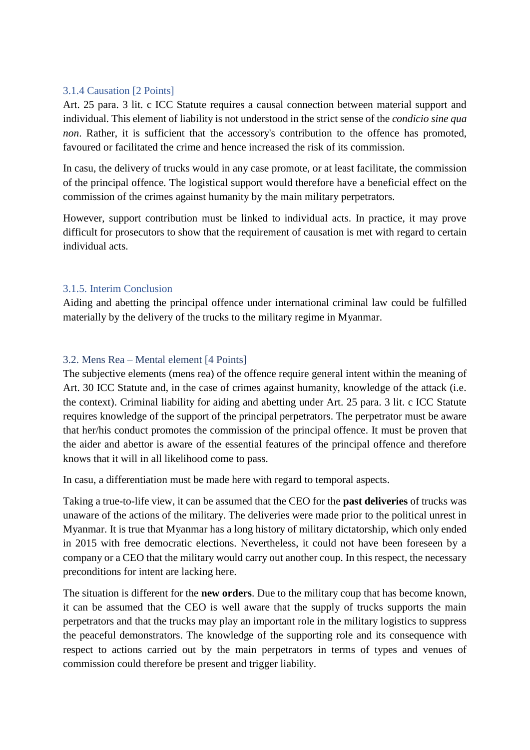### 3.1.4 Causation [2 Points]

Art. 25 para. 3 lit. c ICC Statute requires a causal connection between material support and individual. This element of liability is not understood in the strict sense of the *condicio sine qua non*. Rather, it is sufficient that the accessory's contribution to the offence has promoted, favoured or facilitated the crime and hence increased the risk of its commission.

In casu, the delivery of trucks would in any case promote, or at least facilitate, the commission of the principal offence. The logistical support would therefore have a beneficial effect on the commission of the crimes against humanity by the main military perpetrators.

However, support contribution must be linked to individual acts. In practice, it may prove difficult for prosecutors to show that the requirement of causation is met with regard to certain individual acts.

#### 3.1.5. Interim Conclusion

Aiding and abetting the principal offence under international criminal law could be fulfilled materially by the delivery of the trucks to the military regime in Myanmar.

## 3.2. Mens Rea – Mental element [4 Points]

The subjective elements (mens rea) of the offence require general intent within the meaning of Art. 30 ICC Statute and, in the case of crimes against humanity, knowledge of the attack (i.e. the context). Criminal liability for aiding and abetting under Art. 25 para. 3 lit. c ICC Statute requires knowledge of the support of the principal perpetrators. The perpetrator must be aware that her/his conduct promotes the commission of the principal offence. It must be proven that the aider and abettor is aware of the essential features of the principal offence and therefore knows that it will in all likelihood come to pass.

In casu, a differentiation must be made here with regard to temporal aspects.

Taking a true-to-life view, it can be assumed that the CEO for the **past deliveries** of trucks was unaware of the actions of the military. The deliveries were made prior to the political unrest in Myanmar. It is true that Myanmar has a long history of military dictatorship, which only ended in 2015 with free democratic elections. Nevertheless, it could not have been foreseen by a company or a CEO that the military would carry out another coup. In this respect, the necessary preconditions for intent are lacking here.

The situation is different for the **new orders**. Due to the military coup that has become known, it can be assumed that the CEO is well aware that the supply of trucks supports the main perpetrators and that the trucks may play an important role in the military logistics to suppress the peaceful demonstrators. The knowledge of the supporting role and its consequence with respect to actions carried out by the main perpetrators in terms of types and venues of commission could therefore be present and trigger liability.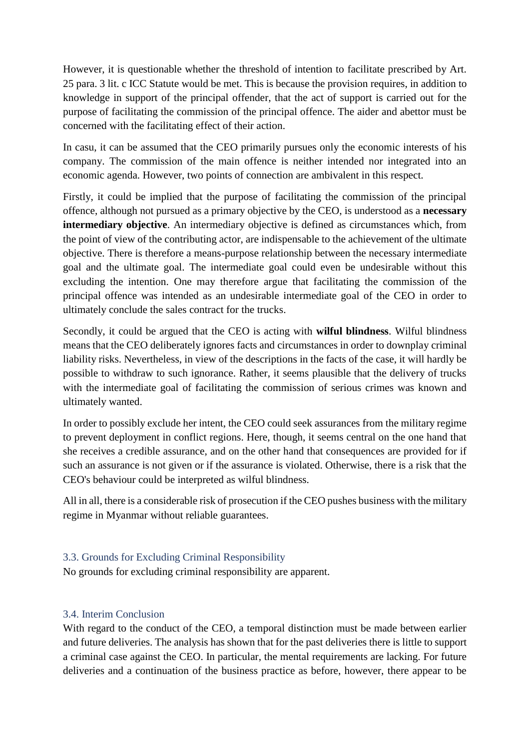However, it is questionable whether the threshold of intention to facilitate prescribed by Art. 25 para. 3 lit. c ICC Statute would be met. This is because the provision requires, in addition to knowledge in support of the principal offender, that the act of support is carried out for the purpose of facilitating the commission of the principal offence. The aider and abettor must be concerned with the facilitating effect of their action.

In casu, it can be assumed that the CEO primarily pursues only the economic interests of his company. The commission of the main offence is neither intended nor integrated into an economic agenda. However, two points of connection are ambivalent in this respect.

Firstly, it could be implied that the purpose of facilitating the commission of the principal offence, although not pursued as a primary objective by the CEO, is understood as a **necessary intermediary objective**. An intermediary objective is defined as circumstances which, from the point of view of the contributing actor, are indispensable to the achievement of the ultimate objective. There is therefore a means-purpose relationship between the necessary intermediate goal and the ultimate goal. The intermediate goal could even be undesirable without this excluding the intention. One may therefore argue that facilitating the commission of the principal offence was intended as an undesirable intermediate goal of the CEO in order to ultimately conclude the sales contract for the trucks.

Secondly, it could be argued that the CEO is acting with **wilful blindness**. Wilful blindness means that the CEO deliberately ignores facts and circumstances in order to downplay criminal liability risks. Nevertheless, in view of the descriptions in the facts of the case, it will hardly be possible to withdraw to such ignorance. Rather, it seems plausible that the delivery of trucks with the intermediate goal of facilitating the commission of serious crimes was known and ultimately wanted.

In order to possibly exclude her intent, the CEO could seek assurances from the military regime to prevent deployment in conflict regions. Here, though, it seems central on the one hand that she receives a credible assurance, and on the other hand that consequences are provided for if such an assurance is not given or if the assurance is violated. Otherwise, there is a risk that the CEO's behaviour could be interpreted as wilful blindness.

All in all, there is a considerable risk of prosecution if the CEO pushes business with the military regime in Myanmar without reliable guarantees.

# 3.3. Grounds for Excluding Criminal Responsibility

No grounds for excluding criminal responsibility are apparent.

# 3.4. Interim Conclusion

With regard to the conduct of the CEO, a temporal distinction must be made between earlier and future deliveries. The analysis has shown that for the past deliveries there is little to support a criminal case against the CEO. In particular, the mental requirements are lacking. For future deliveries and a continuation of the business practice as before, however, there appear to be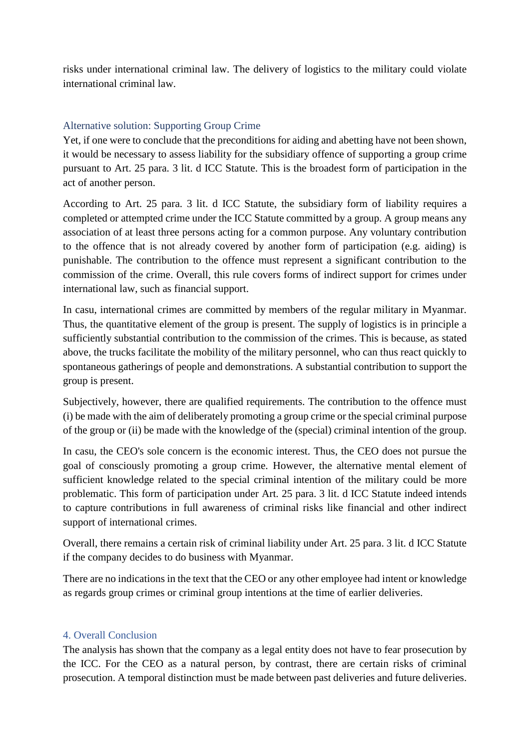risks under international criminal law. The delivery of logistics to the military could violate international criminal law.

## Alternative solution: Supporting Group Crime

Yet, if one were to conclude that the preconditions for aiding and abetting have not been shown, it would be necessary to assess liability for the subsidiary offence of supporting a group crime pursuant to Art. 25 para. 3 lit. d ICC Statute. This is the broadest form of participation in the act of another person.

According to Art. 25 para. 3 lit. d ICC Statute, the subsidiary form of liability requires a completed or attempted crime under the ICC Statute committed by a group. A group means any association of at least three persons acting for a common purpose. Any voluntary contribution to the offence that is not already covered by another form of participation (e.g. aiding) is punishable. The contribution to the offence must represent a significant contribution to the commission of the crime. Overall, this rule covers forms of indirect support for crimes under international law, such as financial support.

In casu, international crimes are committed by members of the regular military in Myanmar. Thus, the quantitative element of the group is present. The supply of logistics is in principle a sufficiently substantial contribution to the commission of the crimes. This is because, as stated above, the trucks facilitate the mobility of the military personnel, who can thus react quickly to spontaneous gatherings of people and demonstrations. A substantial contribution to support the group is present.

Subjectively, however, there are qualified requirements. The contribution to the offence must (i) be made with the aim of deliberately promoting a group crime or the special criminal purpose of the group or (ii) be made with the knowledge of the (special) criminal intention of the group.

In casu, the CEO's sole concern is the economic interest. Thus, the CEO does not pursue the goal of consciously promoting a group crime. However, the alternative mental element of sufficient knowledge related to the special criminal intention of the military could be more problematic. This form of participation under Art. 25 para. 3 lit. d ICC Statute indeed intends to capture contributions in full awareness of criminal risks like financial and other indirect support of international crimes.

Overall, there remains a certain risk of criminal liability under Art. 25 para. 3 lit. d ICC Statute if the company decides to do business with Myanmar.

There are no indications in the text that the CEO or any other employee had intent or knowledge as regards group crimes or criminal group intentions at the time of earlier deliveries.

#### 4. Overall Conclusion

The analysis has shown that the company as a legal entity does not have to fear prosecution by the ICC. For the CEO as a natural person, by contrast, there are certain risks of criminal prosecution. A temporal distinction must be made between past deliveries and future deliveries.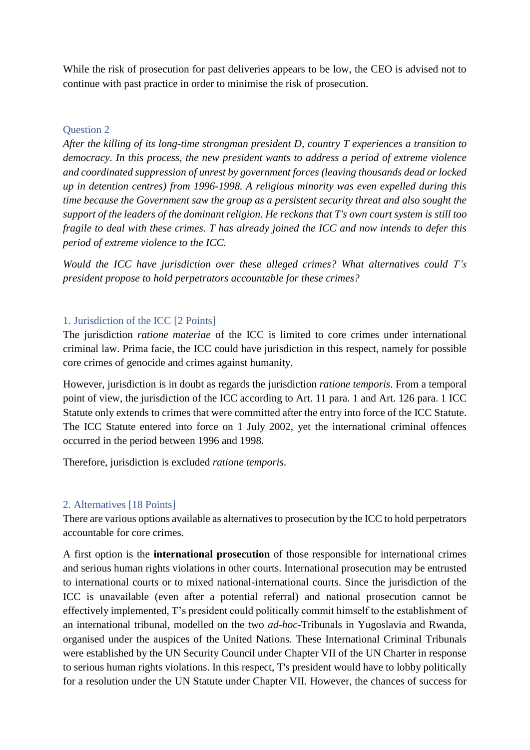While the risk of prosecution for past deliveries appears to be low, the CEO is advised not to continue with past practice in order to minimise the risk of prosecution.

### Question 2

*After the killing of its long-time strongman president D, country T experiences a transition to democracy. In this process, the new president wants to address a period of extreme violence and coordinated suppression of unrest by government forces (leaving thousands dead or locked up in detention centres) from 1996-1998. A religious minority was even expelled during this time because the Government saw the group as a persistent security threat and also sought the support of the leaders of the dominant religion. He reckons that T's own court system is still too fragile to deal with these crimes. T has already joined the ICC and now intends to defer this period of extreme violence to the ICC.* 

*Would the ICC have jurisdiction over these alleged crimes? What alternatives could T's president propose to hold perpetrators accountable for these crimes?*

## 1. Jurisdiction of the ICC [2 Points]

The jurisdiction *ratione materiae* of the ICC is limited to core crimes under international criminal law. Prima facie, the ICC could have jurisdiction in this respect, namely for possible core crimes of genocide and crimes against humanity.

However, jurisdiction is in doubt as regards the jurisdiction *ratione temporis*. From a temporal point of view, the jurisdiction of the ICC according to Art. 11 para. 1 and Art. 126 para. 1 ICC Statute only extends to crimes that were committed after the entry into force of the ICC Statute. The ICC Statute entered into force on 1 July 2002, yet the international criminal offences occurred in the period between 1996 and 1998.

Therefore, jurisdiction is excluded *ratione temporis*.

## 2. Alternatives [18 Points]

There are various options available as alternatives to prosecution by the ICC to hold perpetrators accountable for core crimes.

A first option is the **international prosecution** of those responsible for international crimes and serious human rights violations in other courts. International prosecution may be entrusted to international courts or to mixed national-international courts. Since the jurisdiction of the ICC is unavailable (even after a potential referral) and national prosecution cannot be effectively implemented, T's president could politically commit himself to the establishment of an international tribunal, modelled on the two *ad-hoc*-Tribunals in Yugoslavia and Rwanda, organised under the auspices of the United Nations. These International Criminal Tribunals were established by the UN Security Council under Chapter VII of the UN Charter in response to serious human rights violations. In this respect, T's president would have to lobby politically for a resolution under the UN Statute under Chapter VII. However, the chances of success for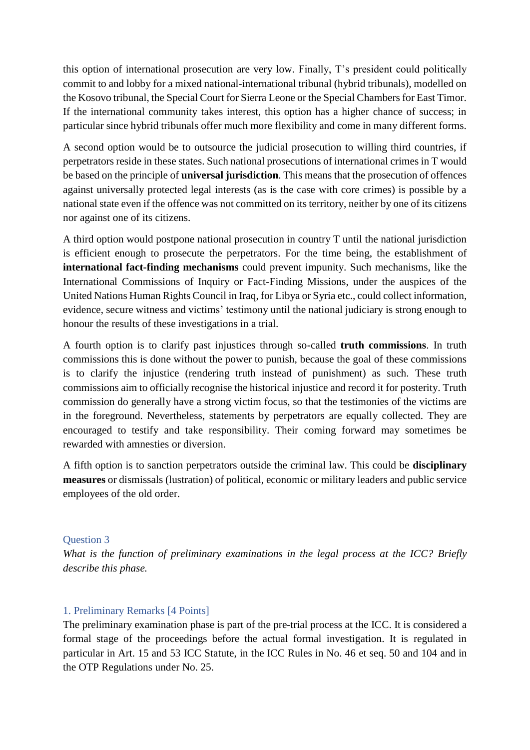this option of international prosecution are very low. Finally, T's president could politically commit to and lobby for a mixed national-international tribunal (hybrid tribunals), modelled on the Kosovo tribunal, the Special Court for Sierra Leone or the Special Chambers for East Timor. If the international community takes interest, this option has a higher chance of success; in particular since hybrid tribunals offer much more flexibility and come in many different forms.

A second option would be to outsource the judicial prosecution to willing third countries, if perpetrators reside in these states. Such national prosecutions of international crimes in T would be based on the principle of **universal jurisdiction**. This means that the prosecution of offences against universally protected legal interests (as is the case with core crimes) is possible by a national state even if the offence was not committed on its territory, neither by one of its citizens nor against one of its citizens.

A third option would postpone national prosecution in country T until the national jurisdiction is efficient enough to prosecute the perpetrators. For the time being, the establishment of **international fact-finding mechanisms** could prevent impunity. Such mechanisms, like the International Commissions of Inquiry or Fact-Finding Missions, under the auspices of the United Nations Human Rights Council in Iraq, for Libya or Syria etc., could collect information, evidence, secure witness and victims' testimony until the national judiciary is strong enough to honour the results of these investigations in a trial.

A fourth option is to clarify past injustices through so-called **truth commissions**. In truth commissions this is done without the power to punish, because the goal of these commissions is to clarify the injustice (rendering truth instead of punishment) as such. These truth commissions aim to officially recognise the historical injustice and record it for posterity. Truth commission do generally have a strong victim focus, so that the testimonies of the victims are in the foreground. Nevertheless, statements by perpetrators are equally collected. They are encouraged to testify and take responsibility. Their coming forward may sometimes be rewarded with amnesties or diversion.

A fifth option is to sanction perpetrators outside the criminal law. This could be **disciplinary measures** or dismissals (lustration) of political, economic or military leaders and public service employees of the old order.

## Question 3

*What is the function of preliminary examinations in the legal process at the ICC? Briefly describe this phase.*

#### 1. Preliminary Remarks [4 Points]

The preliminary examination phase is part of the pre-trial process at the ICC. It is considered a formal stage of the proceedings before the actual formal investigation. It is regulated in particular in Art. 15 and 53 ICC Statute, in the ICC Rules in No. 46 et seq. 50 and 104 and in the OTP Regulations under No. 25.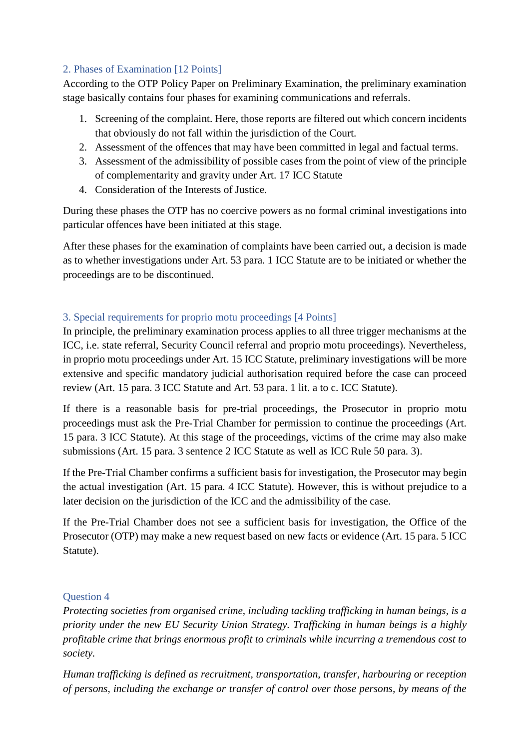# 2. Phases of Examination [12 Points]

According to the OTP Policy Paper on Preliminary Examination, the preliminary examination stage basically contains four phases for examining communications and referrals.

- 1. Screening of the complaint. Here, those reports are filtered out which concern incidents that obviously do not fall within the jurisdiction of the Court.
- 2. Assessment of the offences that may have been committed in legal and factual terms.
- 3. Assessment of the admissibility of possible cases from the point of view of the principle of complementarity and gravity under Art. 17 ICC Statute
- 4. Consideration of the Interests of Justice.

During these phases the OTP has no coercive powers as no formal criminal investigations into particular offences have been initiated at this stage.

After these phases for the examination of complaints have been carried out, a decision is made as to whether investigations under Art. 53 para. 1 ICC Statute are to be initiated or whether the proceedings are to be discontinued.

# 3. Special requirements for proprio motu proceedings [4 Points]

In principle, the preliminary examination process applies to all three trigger mechanisms at the ICC, i.e. state referral, Security Council referral and proprio motu proceedings). Nevertheless, in proprio motu proceedings under Art. 15 ICC Statute, preliminary investigations will be more extensive and specific mandatory judicial authorisation required before the case can proceed review (Art. 15 para. 3 ICC Statute and Art. 53 para. 1 lit. a to c. ICC Statute).

If there is a reasonable basis for pre-trial proceedings, the Prosecutor in proprio motu proceedings must ask the Pre-Trial Chamber for permission to continue the proceedings (Art. 15 para. 3 ICC Statute). At this stage of the proceedings, victims of the crime may also make submissions (Art. 15 para. 3 sentence 2 ICC Statute as well as ICC Rule 50 para. 3).

If the Pre-Trial Chamber confirms a sufficient basis for investigation, the Prosecutor may begin the actual investigation (Art. 15 para. 4 ICC Statute). However, this is without prejudice to a later decision on the jurisdiction of the ICC and the admissibility of the case.

If the Pre-Trial Chamber does not see a sufficient basis for investigation, the Office of the Prosecutor (OTP) may make a new request based on new facts or evidence (Art. 15 para. 5 ICC Statute).

# Question 4

*Protecting societies from organised crime, including tackling trafficking in human beings, is a priority under the new EU Security Union Strategy. Trafficking in human beings is a highly profitable crime that brings enormous profit to criminals while incurring a tremendous cost to society.*

*Human trafficking is defined as recruitment, transportation, transfer, harbouring or reception of persons, including the exchange or transfer of control over those persons, by means of the*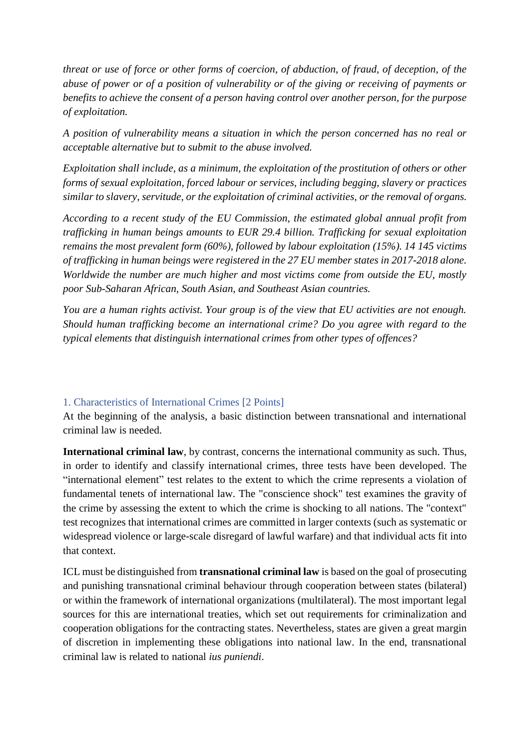*threat or use of force or other forms of coercion, of abduction, of fraud, of deception, of the abuse of power or of a position of vulnerability or of the giving or receiving of payments or benefits to achieve the consent of a person having control over another person, for the purpose of exploitation.*

*A position of vulnerability means a situation in which the person concerned has no real or acceptable alternative but to submit to the abuse involved.*

*Exploitation shall include, as a minimum, the exploitation of the prostitution of others or other forms of sexual exploitation, forced labour or services, including begging, slavery or practices similar to slavery, servitude, or the exploitation of criminal activities, or the removal of organs.*

*According to a recent study of the EU Commission, the estimated global annual profit from trafficking in human beings amounts to EUR 29.4 billion. Trafficking for sexual exploitation remains the most prevalent form (60%), followed by labour exploitation (15%). 14 145 victims of trafficking in human beings were registered in the 27 EU member states in 2017-2018 alone. Worldwide the number are much higher and most victims come from outside the EU, mostly poor Sub-Saharan African, South Asian, and Southeast Asian countries.*

*You are a human rights activist. Your group is of the view that EU activities are not enough. Should human trafficking become an international crime? Do you agree with regard to the typical elements that distinguish international crimes from other types of offences?*

## 1. Characteristics of International Crimes [2 Points]

At the beginning of the analysis, a basic distinction between transnational and international criminal law is needed.

**International criminal law**, by contrast, concerns the international community as such. Thus, in order to identify and classify international crimes, three tests have been developed. The "international element" test relates to the extent to which the crime represents a violation of fundamental tenets of international law. The "conscience shock" test examines the gravity of the crime by assessing the extent to which the crime is shocking to all nations. The "context" test recognizes that international crimes are committed in larger contexts (such as systematic or widespread violence or large-scale disregard of lawful warfare) and that individual acts fit into that context.

ICL must be distinguished from **transnational criminal law** is based on the goal of prosecuting and punishing transnational criminal behaviour through cooperation between states (bilateral) or within the framework of international organizations (multilateral). The most important legal sources for this are international treaties, which set out requirements for criminalization and cooperation obligations for the contracting states. Nevertheless, states are given a great margin of discretion in implementing these obligations into national law. In the end, transnational criminal law is related to national *ius puniendi*.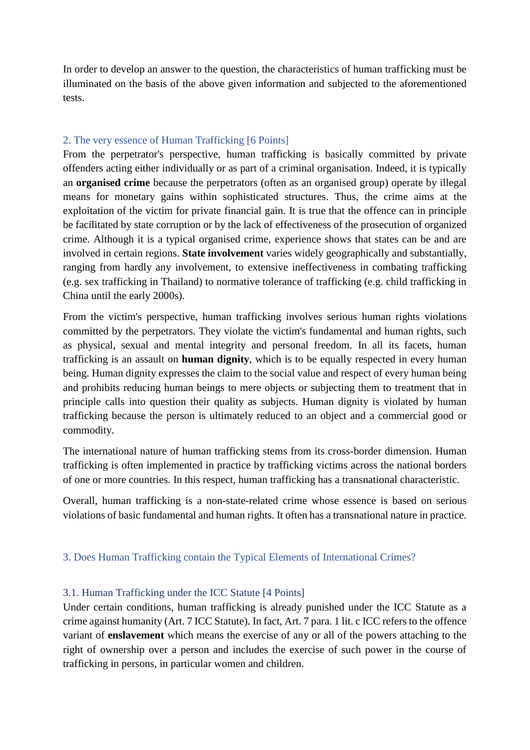In order to develop an answer to the question, the characteristics of human trafficking must be illuminated on the basis of the above given information and subjected to the aforementioned tests.

## 2. The very essence of Human Trafficking [6 Points]

From the perpetrator's perspective, human trafficking is basically committed by private offenders acting either individually or as part of a criminal organisation. Indeed, it is typically an **organised crime** because the perpetrators (often as an organised group) operate by illegal means for monetary gains within sophisticated structures. Thus, the crime aims at the exploitation of the victim for private financial gain. It is true that the offence can in principle be facilitated by state corruption or by the lack of effectiveness of the prosecution of organized crime. Although it is a typical organised crime, experience shows that states can be and are involved in certain regions. **State involvement** varies widely geographically and substantially, ranging from hardly any involvement, to extensive ineffectiveness in combating trafficking (e.g. sex trafficking in Thailand) to normative tolerance of trafficking (e.g. child trafficking in China until the early 2000s).

From the victim's perspective, human trafficking involves serious human rights violations committed by the perpetrators. They violate the victim's fundamental and human rights, such as physical, sexual and mental integrity and personal freedom. In all its facets, human trafficking is an assault on **human dignity**, which is to be equally respected in every human being. Human dignity expresses the claim to the social value and respect of every human being and prohibits reducing human beings to mere objects or subjecting them to treatment that in principle calls into question their quality as subjects. Human dignity is violated by human trafficking because the person is ultimately reduced to an object and a commercial good or commodity.

The international nature of human trafficking stems from its cross-border dimension. Human trafficking is often implemented in practice by trafficking victims across the national borders of one or more countries. In this respect, human trafficking has a transnational characteristic.

Overall, human trafficking is a non-state-related crime whose essence is based on serious violations of basic fundamental and human rights. It often has a transnational nature in practice.

# 3. Does Human Trafficking contain the Typical Elements of International Crimes?

## 3.1. Human Trafficking under the ICC Statute [4 Points]

Under certain conditions, human trafficking is already punished under the ICC Statute as a crime against humanity (Art. 7 ICC Statute). In fact, Art. 7 para. 1 lit. c ICC refers to the offence variant of **enslavement** which means the exercise of any or all of the powers attaching to the right of ownership over a person and includes the exercise of such power in the course of trafficking in persons, in particular women and children.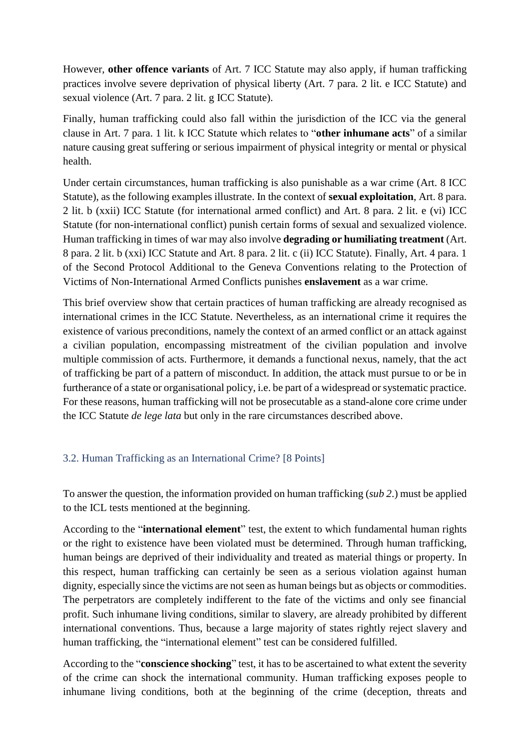However, **other offence variants** of Art. 7 ICC Statute may also apply, if human trafficking practices involve severe deprivation of physical liberty (Art. 7 para. 2 lit. e ICC Statute) and sexual violence (Art. 7 para. 2 lit. g ICC Statute).

Finally, human trafficking could also fall within the jurisdiction of the ICC via the general clause in Art. 7 para. 1 lit. k ICC Statute which relates to "**other inhumane acts**" of a similar nature causing great suffering or serious impairment of physical integrity or mental or physical health.

Under certain circumstances, human trafficking is also punishable as a war crime (Art. 8 ICC Statute), as the following examples illustrate. In the context of **sexual exploitation**, Art. 8 para. 2 lit. b (xxii) ICC Statute (for international armed conflict) and Art. 8 para. 2 lit. e (vi) ICC Statute (for non-international conflict) punish certain forms of sexual and sexualized violence. Human trafficking in times of war may also involve **degrading or humiliating treatment** (Art. 8 para. 2 lit. b (xxi) ICC Statute and Art. 8 para. 2 lit. c (ii) ICC Statute). Finally, Art. 4 para. 1 of the Second Protocol Additional to the Geneva Conventions relating to the Protection of Victims of Non-International Armed Conflicts punishes **enslavement** as a war crime.

This brief overview show that certain practices of human trafficking are already recognised as international crimes in the ICC Statute. Nevertheless, as an international crime it requires the existence of various preconditions, namely the context of an armed conflict or an attack against a civilian population, encompassing mistreatment of the civilian population and involve multiple commission of acts. Furthermore, it demands a functional nexus, namely, that the act of trafficking be part of a pattern of misconduct. In addition, the attack must pursue to or be in furtherance of a state or organisational policy, i.e. be part of a widespread or systematic practice. For these reasons, human trafficking will not be prosecutable as a stand-alone core crime under the ICC Statute *de lege lata* but only in the rare circumstances described above.

## 3.2. Human Trafficking as an International Crime? [8 Points]

To answer the question, the information provided on human trafficking (*sub 2*.) must be applied to the ICL tests mentioned at the beginning.

According to the "**international element**" test, the extent to which fundamental human rights or the right to existence have been violated must be determined. Through human trafficking, human beings are deprived of their individuality and treated as material things or property. In this respect, human trafficking can certainly be seen as a serious violation against human dignity, especially since the victims are not seen as human beings but as objects or commodities. The perpetrators are completely indifferent to the fate of the victims and only see financial profit. Such inhumane living conditions, similar to slavery, are already prohibited by different international conventions. Thus, because a large majority of states rightly reject slavery and human trafficking, the "international element" test can be considered fulfilled.

According to the "**conscience shocking**" test, it has to be ascertained to what extent the severity of the crime can shock the international community. Human trafficking exposes people to inhumane living conditions, both at the beginning of the crime (deception, threats and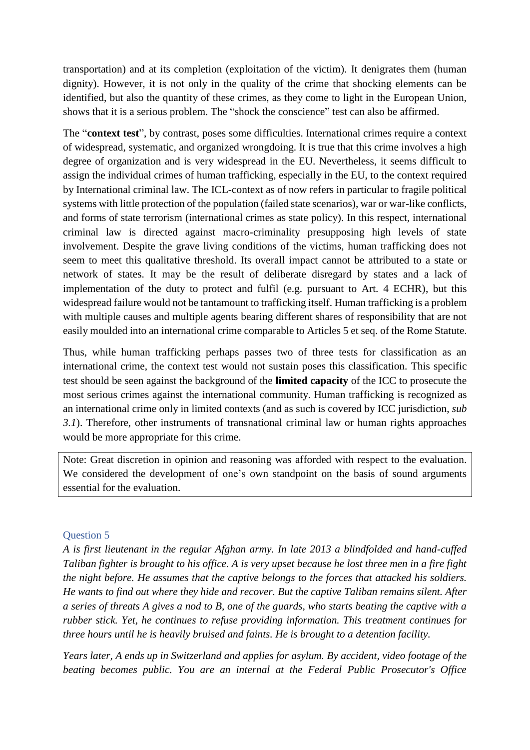transportation) and at its completion (exploitation of the victim). It denigrates them (human dignity). However, it is not only in the quality of the crime that shocking elements can be identified, but also the quantity of these crimes, as they come to light in the European Union, shows that it is a serious problem. The "shock the conscience" test can also be affirmed.

The "**context test**", by contrast, poses some difficulties. International crimes require a context of widespread, systematic, and organized wrongdoing. It is true that this crime involves a high degree of organization and is very widespread in the EU. Nevertheless, it seems difficult to assign the individual crimes of human trafficking, especially in the EU, to the context required by International criminal law. The ICL-context as of now refers in particular to fragile political systems with little protection of the population (failed state scenarios), war or war-like conflicts, and forms of state terrorism (international crimes as state policy). In this respect, international criminal law is directed against macro-criminality presupposing high levels of state involvement. Despite the grave living conditions of the victims, human trafficking does not seem to meet this qualitative threshold. Its overall impact cannot be attributed to a state or network of states. It may be the result of deliberate disregard by states and a lack of implementation of the duty to protect and fulfil (e.g. pursuant to Art. 4 ECHR), but this widespread failure would not be tantamount to trafficking itself. Human trafficking is a problem with multiple causes and multiple agents bearing different shares of responsibility that are not easily moulded into an international crime comparable to Articles 5 et seq. of the Rome Statute.

Thus, while human trafficking perhaps passes two of three tests for classification as an international crime, the context test would not sustain poses this classification. This specific test should be seen against the background of the **limited capacity** of the ICC to prosecute the most serious crimes against the international community. Human trafficking is recognized as an international crime only in limited contexts (and as such is covered by ICC jurisdiction, *sub 3.1*). Therefore, other instruments of transnational criminal law or human rights approaches would be more appropriate for this crime.

Note: Great discretion in opinion and reasoning was afforded with respect to the evaluation. We considered the development of one's own standpoint on the basis of sound arguments essential for the evaluation.

## Question 5

*A is first lieutenant in the regular Afghan army. In late 2013 a blindfolded and hand-cuffed Taliban fighter is brought to his office. A is very upset because he lost three men in a fire fight the night before. He assumes that the captive belongs to the forces that attacked his soldiers. He wants to find out where they hide and recover. But the captive Taliban remains silent. After a series of threats A gives a nod to B, one of the guards, who starts beating the captive with a rubber stick. Yet, he continues to refuse providing information. This treatment continues for three hours until he is heavily bruised and faints. He is brought to a detention facility.*

*Years later, A ends up in Switzerland and applies for asylum. By accident, video footage of the beating becomes public. You are an internal at the Federal Public Prosecutor's Office*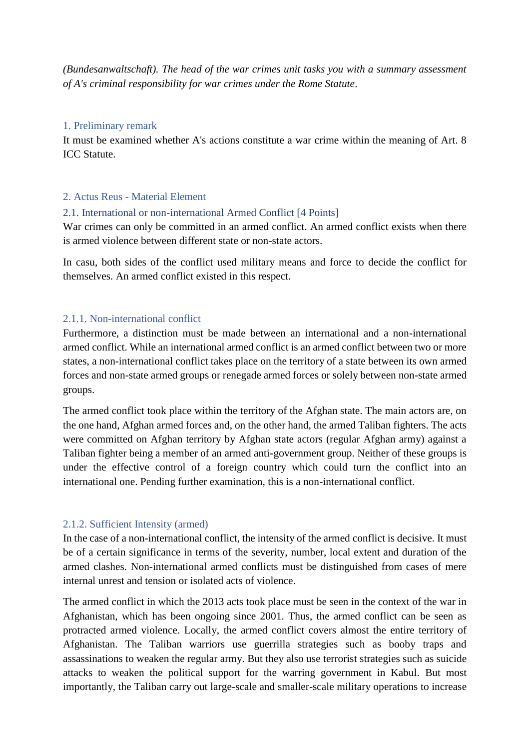*(Bundesanwaltschaft). The head of the war crimes unit tasks you with a summary assessment of A's criminal responsibility for war crimes under the Rome Statute*.

#### 1. Preliminary remark

It must be examined whether A's actions constitute a war crime within the meaning of Art. 8 ICC Statute.

#### 2. Actus Reus - Material Element

#### 2.1. International or non-international Armed Conflict [4 Points]

War crimes can only be committed in an armed conflict. An armed conflict exists when there is armed violence between different state or non-state actors.

In casu, both sides of the conflict used military means and force to decide the conflict for themselves. An armed conflict existed in this respect.

#### 2.1.1. Non-international conflict

Furthermore, a distinction must be made between an international and a non-international armed conflict. While an international armed conflict is an armed conflict between two or more states, a non-international conflict takes place on the territory of a state between its own armed forces and non-state armed groups or renegade armed forces or solely between non-state armed groups.

The armed conflict took place within the territory of the Afghan state. The main actors are, on the one hand, Afghan armed forces and, on the other hand, the armed Taliban fighters. The acts were committed on Afghan territory by Afghan state actors (regular Afghan army) against a Taliban fighter being a member of an armed anti-government group. Neither of these groups is under the effective control of a foreign country which could turn the conflict into an international one. Pending further examination, this is a non-international conflict.

#### 2.1.2. Sufficient Intensity (armed)

In the case of a non-international conflict, the intensity of the armed conflict is decisive. It must be of a certain significance in terms of the severity, number, local extent and duration of the armed clashes. Non-international armed conflicts must be distinguished from cases of mere internal unrest and tension or isolated acts of violence.

The armed conflict in which the 2013 acts took place must be seen in the context of the war in Afghanistan, which has been ongoing since 2001. Thus, the armed conflict can be seen as protracted armed violence. Locally, the armed conflict covers almost the entire territory of Afghanistan. The Taliban warriors use guerrilla strategies such as booby traps and assassinations to weaken the regular army. But they also use terrorist strategies such as suicide attacks to weaken the political support for the warring government in Kabul. But most importantly, the Taliban carry out large-scale and smaller-scale military operations to increase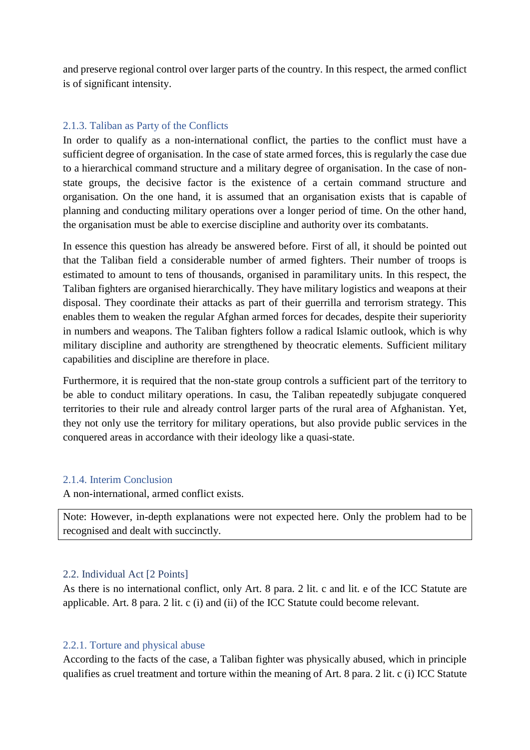and preserve regional control over larger parts of the country. In this respect, the armed conflict is of significant intensity.

## 2.1.3. Taliban as Party of the Conflicts

In order to qualify as a non-international conflict, the parties to the conflict must have a sufficient degree of organisation. In the case of state armed forces, this is regularly the case due to a hierarchical command structure and a military degree of organisation. In the case of nonstate groups, the decisive factor is the existence of a certain command structure and organisation. On the one hand, it is assumed that an organisation exists that is capable of planning and conducting military operations over a longer period of time. On the other hand, the organisation must be able to exercise discipline and authority over its combatants.

In essence this question has already be answered before. First of all, it should be pointed out that the Taliban field a considerable number of armed fighters. Their number of troops is estimated to amount to tens of thousands, organised in paramilitary units. In this respect, the Taliban fighters are organised hierarchically. They have military logistics and weapons at their disposal. They coordinate their attacks as part of their guerrilla and terrorism strategy. This enables them to weaken the regular Afghan armed forces for decades, despite their superiority in numbers and weapons. The Taliban fighters follow a radical Islamic outlook, which is why military discipline and authority are strengthened by theocratic elements. Sufficient military capabilities and discipline are therefore in place.

Furthermore, it is required that the non-state group controls a sufficient part of the territory to be able to conduct military operations. In casu, the Taliban repeatedly subjugate conquered territories to their rule and already control larger parts of the rural area of Afghanistan. Yet, they not only use the territory for military operations, but also provide public services in the conquered areas in accordance with their ideology like a quasi-state.

#### 2.1.4. Interim Conclusion

A non-international, armed conflict exists.

Note: However, in-depth explanations were not expected here. Only the problem had to be recognised and dealt with succinctly.

#### 2.2. Individual Act [2 Points]

As there is no international conflict, only Art. 8 para. 2 lit. c and lit. e of the ICC Statute are applicable. Art. 8 para. 2 lit. c (i) and (ii) of the ICC Statute could become relevant.

#### 2.2.1. Torture and physical abuse

According to the facts of the case, a Taliban fighter was physically abused, which in principle qualifies as cruel treatment and torture within the meaning of Art. 8 para. 2 lit. c (i) ICC Statute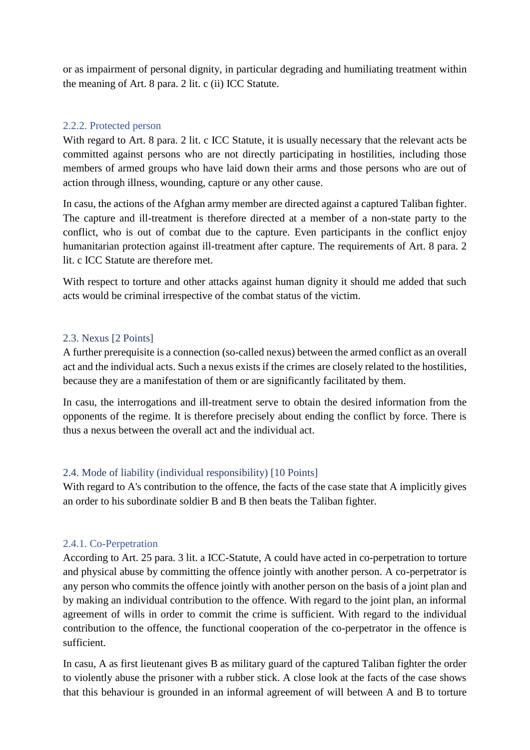or as impairment of personal dignity, in particular degrading and humiliating treatment within the meaning of Art. 8 para. 2 lit. c (ii) ICC Statute.

### 2.2.2. Protected person

With regard to Art. 8 para. 2 lit. c ICC Statute, it is usually necessary that the relevant acts be committed against persons who are not directly participating in hostilities, including those members of armed groups who have laid down their arms and those persons who are out of action through illness, wounding, capture or any other cause.

In casu, the actions of the Afghan army member are directed against a captured Taliban fighter. The capture and ill-treatment is therefore directed at a member of a non-state party to the conflict, who is out of combat due to the capture. Even participants in the conflict enjoy humanitarian protection against ill-treatment after capture. The requirements of Art. 8 para. 2 lit. c ICC Statute are therefore met.

With respect to torture and other attacks against human dignity it should me added that such acts would be criminal irrespective of the combat status of the victim.

#### 2.3. Nexus [2 Points]

A further prerequisite is a connection (so-called nexus) between the armed conflict as an overall act and the individual acts. Such a nexus exists if the crimes are closely related to the hostilities, because they are a manifestation of them or are significantly facilitated by them.

In casu, the interrogations and ill-treatment serve to obtain the desired information from the opponents of the regime. It is therefore precisely about ending the conflict by force. There is thus a nexus between the overall act and the individual act.

## 2.4. Mode of liability (individual responsibility) [10 Points]

With regard to A's contribution to the offence, the facts of the case state that A implicitly gives an order to his subordinate soldier B and B then beats the Taliban fighter.

#### 2.4.1. Co-Perpetration

According to Art. 25 para. 3 lit. a ICC-Statute, A could have acted in co-perpetration to torture and physical abuse by committing the offence jointly with another person. A co-perpetrator is any person who commits the offence jointly with another person on the basis of a joint plan and by making an individual contribution to the offence. With regard to the joint plan, an informal agreement of wills in order to commit the crime is sufficient. With regard to the individual contribution to the offence, the functional cooperation of the co-perpetrator in the offence is sufficient.

In casu, A as first lieutenant gives B as military guard of the captured Taliban fighter the order to violently abuse the prisoner with a rubber stick. A close look at the facts of the case shows that this behaviour is grounded in an informal agreement of will between A and B to torture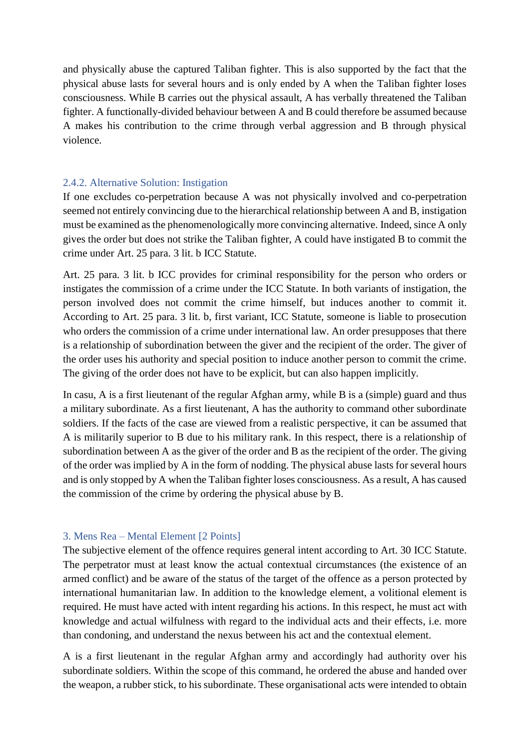and physically abuse the captured Taliban fighter. This is also supported by the fact that the physical abuse lasts for several hours and is only ended by A when the Taliban fighter loses consciousness. While B carries out the physical assault, A has verbally threatened the Taliban fighter. A functionally-divided behaviour between A and B could therefore be assumed because A makes his contribution to the crime through verbal aggression and B through physical violence.

### 2.4.2. Alternative Solution: Instigation

If one excludes co-perpetration because A was not physically involved and co-perpetration seemed not entirely convincing due to the hierarchical relationship between A and B, instigation must be examined as the phenomenologically more convincing alternative. Indeed, since A only gives the order but does not strike the Taliban fighter, A could have instigated B to commit the crime under Art. 25 para. 3 lit. b ICC Statute.

Art. 25 para. 3 lit. b ICC provides for criminal responsibility for the person who orders or instigates the commission of a crime under the ICC Statute. In both variants of instigation, the person involved does not commit the crime himself, but induces another to commit it. According to Art. 25 para. 3 lit. b, first variant, ICC Statute, someone is liable to prosecution who orders the commission of a crime under international law. An order presupposes that there is a relationship of subordination between the giver and the recipient of the order. The giver of the order uses his authority and special position to induce another person to commit the crime. The giving of the order does not have to be explicit, but can also happen implicitly.

In casu, A is a first lieutenant of the regular Afghan army, while B is a (simple) guard and thus a military subordinate. As a first lieutenant, A has the authority to command other subordinate soldiers. If the facts of the case are viewed from a realistic perspective, it can be assumed that A is militarily superior to B due to his military rank. In this respect, there is a relationship of subordination between A as the giver of the order and B as the recipient of the order. The giving of the order was implied by A in the form of nodding. The physical abuse lasts for several hours and is only stopped by A when the Taliban fighter loses consciousness. As a result, A has caused the commission of the crime by ordering the physical abuse by B.

#### 3. Mens Rea – Mental Element [2 Points]

The subjective element of the offence requires general intent according to Art. 30 ICC Statute. The perpetrator must at least know the actual contextual circumstances (the existence of an armed conflict) and be aware of the status of the target of the offence as a person protected by international humanitarian law. In addition to the knowledge element, a volitional element is required. He must have acted with intent regarding his actions. In this respect, he must act with knowledge and actual wilfulness with regard to the individual acts and their effects, i.e. more than condoning, and understand the nexus between his act and the contextual element.

A is a first lieutenant in the regular Afghan army and accordingly had authority over his subordinate soldiers. Within the scope of this command, he ordered the abuse and handed over the weapon, a rubber stick, to his subordinate. These organisational acts were intended to obtain